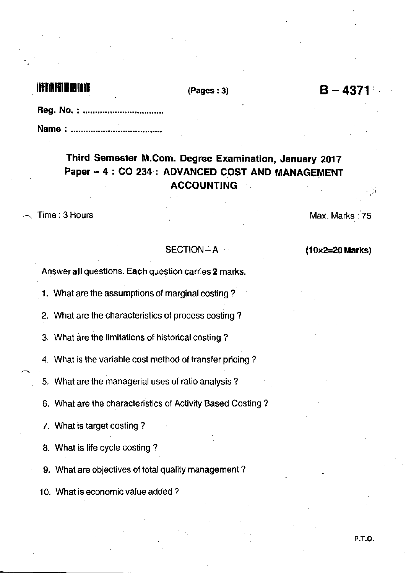Reg. No. : Name : .........................

## Third Semester M.Com. Degree Examination, January 2017 Paper - 4: CO 234: ADVANCED COST AND MANAGEMENT ACCOUNTING

Time: 3 Hours Max. Marks : 75

## $SECTION - A$  (10x2=20 Marks)

Answer all questions. Each question carries 2 marks.

1. What are the assumptions of marginal costing ?

2. What are the characteristics of process costing?

3. What are the limitations of historical costing ?

4. What is the variable cost method of transfer pricing?

5. What are the managerial uses of ratio analysis?

6. What are the characteristics of Activity Based Costing ?

7. What is target costing ?

8. What is life cycle costing ?

9. What are objectives of total quality management ?

'10. What is economic value added ?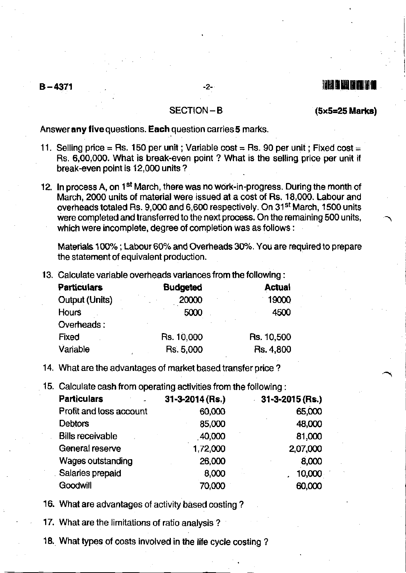# B-1l:l71 -2- ltuttumil[

 $SECTION - B$  (5x5=25 Marks)

Answer any five questions. Each question carries 5 marks.

- 11. Selling price = Rs. 150 per unit ; Variable cost = Rs. 90 per unit ; Fixed cost = Rs. 6,00,000. What is break-even point ? What is the selling price per unit if break-even point is 12,000 units ?
- 12. In process A, on 1<sup>st</sup> March, there was no work-in-progress. During the month of March, 2000 units of material were issued at a cost of Rs. 18,000. Labour and overheads totaled Rs. 9,000 and 6,600 respectively. On 31<sup>st</sup> March, 1500 units were completed and transferred to the next process. On the remaining 500 units, which were incomplete, degree of completion was as follows :

Materials 100%; Labour 60% and Overheads 30%. You are required to prepare the statement of equivalent production.

13, Calculate variable overheads variancesfrom the following:

| <b>Budgeted</b> | <b>Actual</b> |
|-----------------|---------------|
| 20000           | 19000         |
| 5000            | 4500          |
|                 |               |
| Rs. 10,000      | Rs. 10,500    |
| Rs. 5,000       | Rs. 4,800     |
|                 |               |

14. What are the advantages of market based transfer price?

15. Calculate cash from operating activities from the following:

| <b>Particulars</b>      | $31 - 3 - 2014$ (Rs.) | $31 - 3 - 2015$ (Rs.) |
|-------------------------|-----------------------|-----------------------|
| Profit and loss account | 60,000                | 65,000                |
| <b>Debtors</b>          | 85,000                | 48,000                |
| <b>Bills receivable</b> | 40,000                | 81,000                |
| General reserve         | 1,72,000              | 2,07,000              |
| Wages outstanding       | 26,000                | 8,000                 |
| Salaries prepaid        | 8,000                 | 10,000                |
| Goodwill                | 70,000                | 60,000                |

16. What are advantages of activity based costing ?

17. What are the limitations of ratio analysis ?

18. What types ot costs involved in the life cycle costing ?